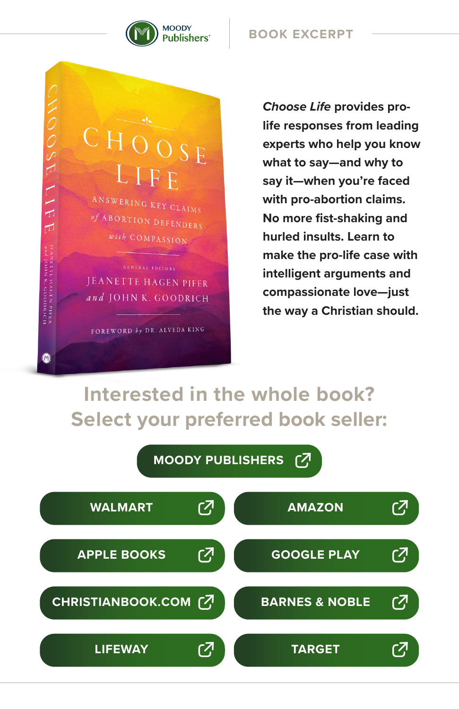

## **BOOK EXCERPT**

CHOOSE LIFE ANSWERING KEY CLAIMS of ABORTION DEFENDERS with COMPASSION **GENERAL EDITORS** JEANETTE HAGEN PIFER and JOHN K. GOODRICH

FOREWORD by DR. ALVEDA KING

CHOOSE

IIFE

JEANETTE HAGEN PIFER<br>And JOHN K. GOODRICH

 $^{\circ}$ 

*Choose Life* **provides prolife responses from leading experts who help you know what to say—and why to say it—when you're faced with pro-abortion claims. No more fist-shaking and hurled insults. Learn to make the pro-life case with intelligent arguments and compassionate love—just the way a Christian should.**

# **Interested in the whole book? Select your preferred book seller:**

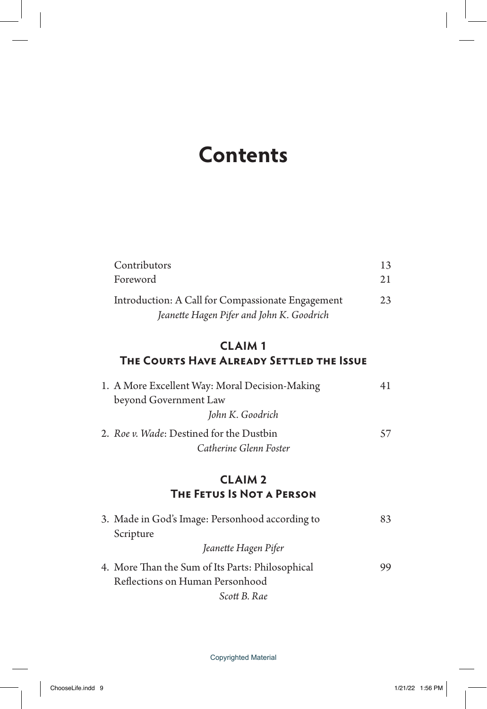# **Contents**

| Contributors                                      | 13  |
|---------------------------------------------------|-----|
| Foreword                                          | 2.1 |
| Introduction: A Call for Compassionate Engagement | 23  |
| Jeanette Hagen Pifer and John K. Goodrich         |     |

# **CLAIM 1 The Courts Have Already Settled the Issue**

| 1. A More Excellent Way: Moral Decision-Making | 41 |
|------------------------------------------------|----|
| beyond Government Law                          |    |
| John K. Goodrich                               |    |
| 2. Roe v. Wade: Destined for the Dustbin       | 57 |
| Catherine Glenn Foster                         |    |

# **CLAIM 2 The Fetus Is Not a Person**

| 3. Made in God's Image: Personhood according to  | 83 |
|--------------------------------------------------|----|
| Scripture                                        |    |
| Jeanette Hagen Pifer                             |    |
| 4. More Than the Sum of Its Parts: Philosophical | 99 |
| Reflections on Human Personhood                  |    |
| Scott B. Rae                                     |    |

Copyrighted Material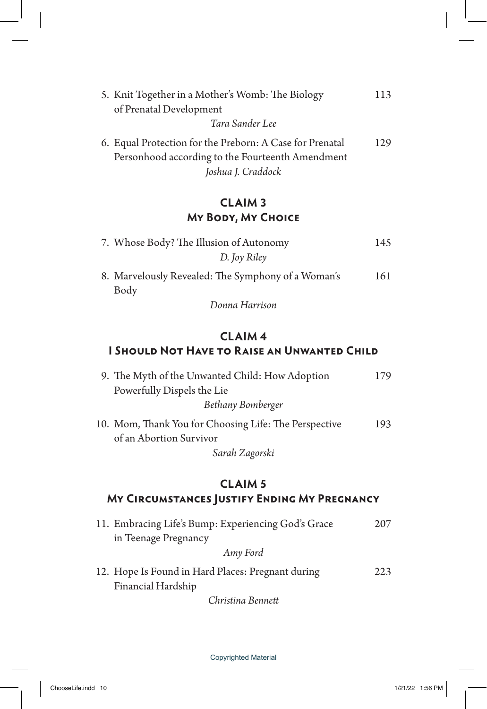| 5. Knit Together in a Mother's Womb: The Biology         | 113 |
|----------------------------------------------------------|-----|
| of Prenatal Development                                  |     |
| Tara Sander Lee                                          |     |
| 6. Equal Protection for the Preborn: A Case for Prenatal | 129 |
| Personhood according to the Fourteenth Amendment         |     |
| Joshua J. Craddock                                       |     |

# **CLAIM 3 My Body, My Choice**

| 7. Whose Body? The Illusion of Autonomy                    | 145 |
|------------------------------------------------------------|-----|
| D. Joy Riley                                               |     |
| 8. Marvelously Revealed: The Symphony of a Woman's<br>Body | 161 |

*Donna Harrison*

# **CLAIM 4 I Should Not Have to Raise an Unwanted Child**

| 9. The Myth of the Unwanted Child: How Adoption       | 179 |
|-------------------------------------------------------|-----|
| Powerfully Dispels the Lie                            |     |
| Bethany Bomberger                                     |     |
| 10. Mom, Thank You for Choosing Life: The Perspective | 193 |
| of an Abortion Survivor                               |     |
| Sarah Zagorski                                        |     |

## **CLAIM 5 My Circumstances Justify Ending My Pregnancy**

| 11. Embracing Life's Bump: Experiencing God's Grace                     | 207 |
|-------------------------------------------------------------------------|-----|
| in Teenage Pregnancy                                                    |     |
| Amy Ford                                                                |     |
| 12. Hope Is Found in Hard Places: Pregnant during<br>Financial Hardship | 223 |
| Christina Bennett                                                       |     |

Copyrighted Material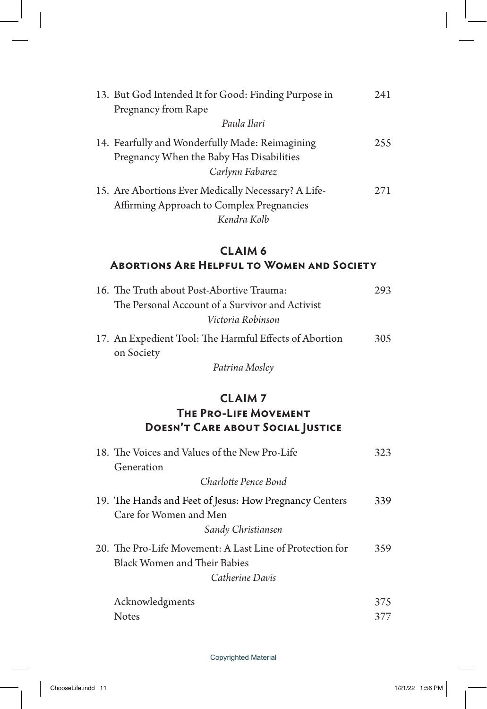| 13. But God Intended It for Good: Finding Purpose in                                                            | 241 |
|-----------------------------------------------------------------------------------------------------------------|-----|
| Pregnancy from Rape                                                                                             |     |
| Paula Ilari                                                                                                     |     |
| 14. Fearfully and Wonderfully Made: Reimagining<br>Pregnancy When the Baby Has Disabilities<br>Carlynn Fabarez  | 255 |
| 15. Are Abortions Ever Medically Necessary? A Life-<br>Affirming Approach to Complex Pregnancies<br>Kendra Kolb | 271 |

# **CLAIM 6 Abortions Are Helpful to Women and Society**

| 16. The Truth about Post-Abortive Trauma:              | 293 |
|--------------------------------------------------------|-----|
| The Personal Account of a Survivor and Activist        |     |
| Victoria Robinson                                      |     |
| 17. An Expedient Tool: The Harmful Effects of Abortion | 305 |
| on Society                                             |     |

*Patrina Mosley*

# **CLAIM 7 The Pro-Life Movement Doesn't Care about Social Justice**

| 18. The Voices and Values of the New Pro-Life                                                                      | 323 |
|--------------------------------------------------------------------------------------------------------------------|-----|
| Generation                                                                                                         |     |
| Charlotte Pence Bond                                                                                               |     |
| 19. The Hands and Feet of Jesus: How Pregnancy Centers<br>Care for Women and Men<br>Sandy Christiansen             | 339 |
| 20. The Pro-Life Movement: A Last Line of Protection for<br><b>Black Women and Their Babies</b><br>Catherine Davis | 359 |
| Acknowledgments                                                                                                    | 375 |
| <b>Notes</b>                                                                                                       |     |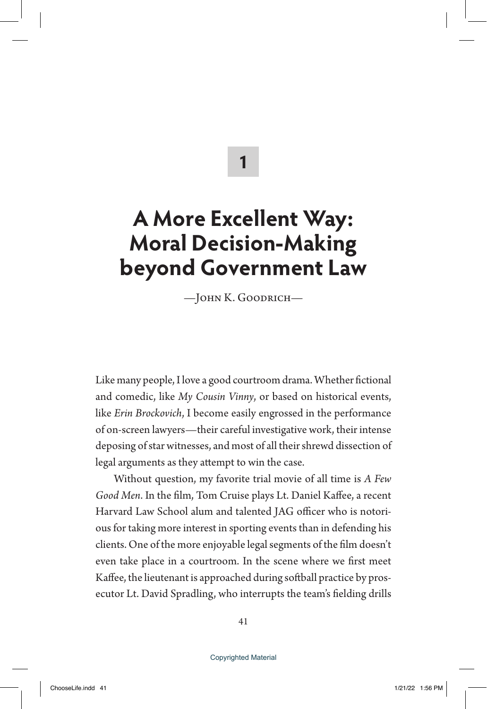**1**

# **A More Excellent Way: Moral Decision-Making beyond Government Law**

—John K. Goodrich—

Like many people, I love a good courtroom drama. Whether fictional and comedic, like *My Cousin Vinny*, or based on historical events, like *Erin Brockovich*, I become easily engrossed in the performance of on-screen lawyers—their careful investigative work, their intense deposing of star witnesses, and most of all their shrewd dissection of legal arguments as they attempt to win the case.

Without question, my favorite trial movie of all time is *A Few Good Men*. In the film, Tom Cruise plays Lt. Daniel Kaffee, a recent Harvard Law School alum and talented JAG officer who is notorious for taking more interest in sporting events than in defending his clients. One of the more enjoyable legal segments of the film doesn't even take place in a courtroom. In the scene where we first meet Kaffee, the lieutenant is approached during softball practice by prosecutor Lt. David Spradling, who interrupts the team's fielding drills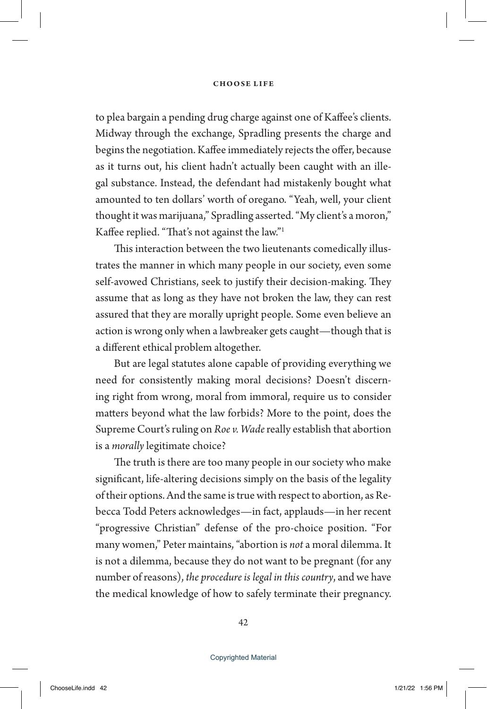to plea bargain a pending drug charge against one of Kaffee's clients. Midway through the exchange, Spradling presents the charge and begins the negotiation. Kaffee immediately rejects the offer, because as it turns out, his client hadn't actually been caught with an illegal substance. Instead, the defendant had mistakenly bought what amounted to ten dollars' worth of oregano. "Yeah, well, your client thought it was marijuana," Spradling asserted. "My client's a moron," Kaffee replied. "That's not against the law."1

This interaction between the two lieutenants comedically illustrates the manner in which many people in our society, even some self-avowed Christians, seek to justify their decision-making. They assume that as long as they have not broken the law, they can rest assured that they are morally upright people. Some even believe an action is wrong only when a lawbreaker gets caught—though that is a different ethical problem altogether.

But are legal statutes alone capable of providing everything we need for consistently making moral decisions? Doesn't discerning right from wrong, moral from immoral, require us to consider matters beyond what the law forbids? More to the point, does the Supreme Court's ruling on *Roe v. Wade* really establish that abortion is a *morally* legitimate choice?

The truth is there are too many people in our society who make significant, life-altering decisions simply on the basis of the legality of their options. And the same is true with respect to abortion, as Rebecca Todd Peters acknowledges—in fact, applauds—in her recent "progressive Christian" defense of the pro-choice position. "For many women," Peter maintains, "abortion is *not* a moral dilemma. It is not a dilemma, because they do not want to be pregnant (for any number of reasons), *the procedure is legal in this country*, and we have the medical knowledge of how to safely terminate their pregnancy.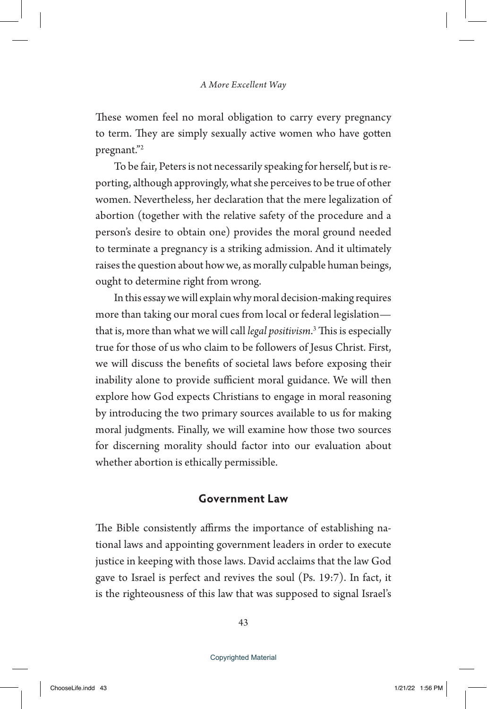These women feel no moral obligation to carry every pregnancy to term. They are simply sexually active women who have gotten pregnant."2

To be fair, Peters is not necessarily speaking for herself, but is reporting, although approvingly, what she perceives to be true of other women. Nevertheless, her declaration that the mere legalization of abortion (together with the relative safety of the procedure and a person's desire to obtain one) provides the moral ground needed to terminate a pregnancy is a striking admission. And it ultimately raises the question about how we, as morally culpable human beings, ought to determine right from wrong.

In this essay we will explain why moral decision-making requires more than taking our moral cues from local or federal legislation that is, more than what we will call *legal positivism*. 3 This is especially true for those of us who claim to be followers of Jesus Christ. First, we will discuss the benefits of societal laws before exposing their inability alone to provide sufficient moral guidance. We will then explore how God expects Christians to engage in moral reasoning by introducing the two primary sources available to us for making moral judgments. Finally, we will examine how those two sources for discerning morality should factor into our evaluation about whether abortion is ethically permissible.

### **Government Law**

The Bible consistently affirms the importance of establishing national laws and appointing government leaders in order to execute justice in keeping with those laws. David acclaims that the law God gave to Israel is perfect and revives the soul (Ps. 19:7). In fact, it is the righteousness of this law that was supposed to signal Israel's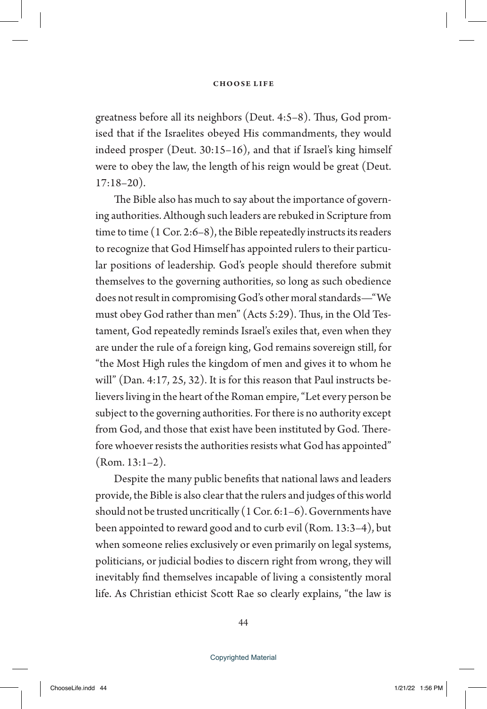greatness before all its neighbors (Deut. 4:5–8). Thus, God promised that if the Israelites obeyed His commandments, they would indeed prosper (Deut. 30:15–16), and that if Israel's king himself were to obey the law, the length of his reign would be great (Deut. 17:18–20).

The Bible also has much to say about the importance of governing authorities. Although such leaders are rebuked in Scripture from time to time (1 Cor. 2:6–8), the Bible repeatedly instructs its readers to recognize that God Himself has appointed rulers to their particular positions of leadership. God's people should therefore submit themselves to the governing authorities, so long as such obedience does not result in compromising God's other moral standards—"We must obey God rather than men" (Acts 5:29). Thus, in the Old Testament, God repeatedly reminds Israel's exiles that, even when they are under the rule of a foreign king, God remains sovereign still, for "the Most High rules the kingdom of men and gives it to whom he will" (Dan. 4:17, 25, 32). It is for this reason that Paul instructs believers living in the heart of the Roman empire, "Let every person be subject to the governing authorities. For there is no authority except from God, and those that exist have been instituted by God. Therefore whoever resists the authorities resists what God has appointed" (Rom. 13:1–2).

Despite the many public benefits that national laws and leaders provide, the Bible is also clear that the rulers and judges of this world should not be trusted uncritically (1 Cor. 6:1–6). Governments have been appointed to reward good and to curb evil (Rom. 13:3–4), but when someone relies exclusively or even primarily on legal systems, politicians, or judicial bodies to discern right from wrong, they will inevitably find themselves incapable of living a consistently moral life. As Christian ethicist Scott Rae so clearly explains, "the law is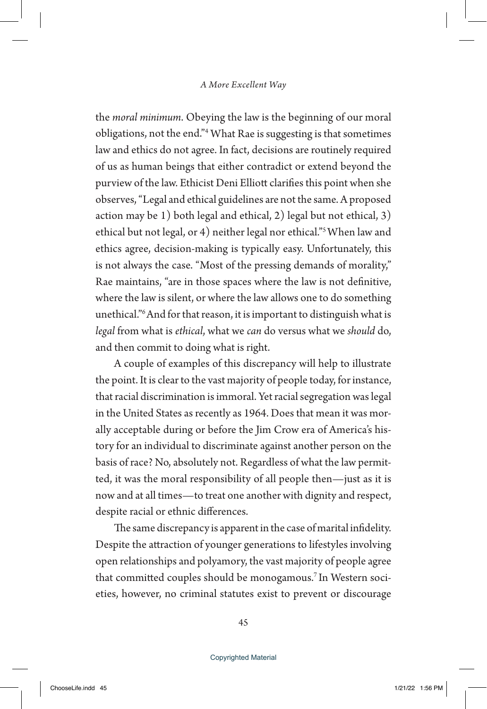the *moral minimum*. Obeying the law is the beginning of our moral obligations, not the end."4 What Rae is suggesting is that sometimes law and ethics do not agree. In fact, decisions are routinely required of us as human beings that either contradict or extend beyond the purview of the law. Ethicist Deni Elliott clarifies this point when she observes, "Legal and ethical guidelines are not the same. A proposed action may be 1) both legal and ethical, 2) legal but not ethical, 3) ethical but not legal, or 4) neither legal nor ethical."5 When law and ethics agree, decision-making is typically easy. Unfortunately, this is not always the case. "Most of the pressing demands of morality," Rae maintains, "are in those spaces where the law is not definitive, where the law is silent, or where the law allows one to do something unethical."6 And for that reason, it is important to distinguish what is *legal* from what is *ethical*, what we *can* do versus what we *should* do, and then commit to doing what is right.

A couple of examples of this discrepancy will help to illustrate the point. It is clear to the vast majority of people today, for instance, that racial discrimination is immoral. Yet racial segregation was legal in the United States as recently as 1964. Does that mean it was morally acceptable during or before the Jim Crow era of America's history for an individual to discriminate against another person on the basis of race? No, absolutely not. Regardless of what the law permitted, it was the moral responsibility of all people then—just as it is now and at all times—to treat one another with dignity and respect, despite racial or ethnic differences.

The same discrepancy is apparent in the case of marital infidelity. Despite the attraction of younger generations to lifestyles involving open relationships and polyamory, the vast majority of people agree that committed couples should be monogamous.<sup>7</sup> In Western societies, however, no criminal statutes exist to prevent or discourage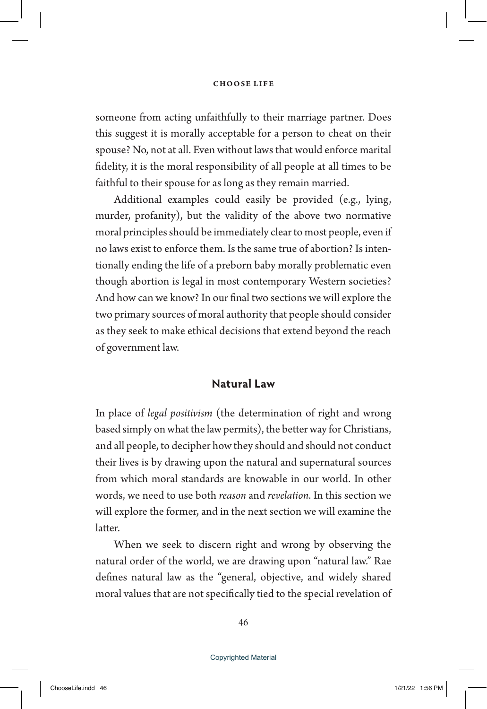someone from acting unfaithfully to their marriage partner. Does this suggest it is morally acceptable for a person to cheat on their spouse? No, not at all. Even without laws that would enforce marital fidelity, it is the moral responsibility of all people at all times to be faithful to their spouse for as long as they remain married.

Additional examples could easily be provided (e.g., lying, murder, profanity), but the validity of the above two normative moral principles should be immediately clear to most people, even if no laws exist to enforce them. Is the same true of abortion? Is intentionally ending the life of a preborn baby morally problematic even though abortion is legal in most contemporary Western societies? And how can we know? In our final two sections we will explore the two primary sources of moral authority that people should consider as they seek to make ethical decisions that extend beyond the reach of government law.

## **Natural Law**

In place of *legal positivism* (the determination of right and wrong based simply on what the law permits), the better way for Christians, and all people, to decipher how they should and should not conduct their lives is by drawing upon the natural and supernatural sources from which moral standards are knowable in our world. In other words, we need to use both *reason* and *revelation*. In this section we will explore the former, and in the next section we will examine the latter.

When we seek to discern right and wrong by observing the natural order of the world, we are drawing upon "natural law." Rae defines natural law as the "general, objective, and widely shared moral values that are not specifically tied to the special revelation of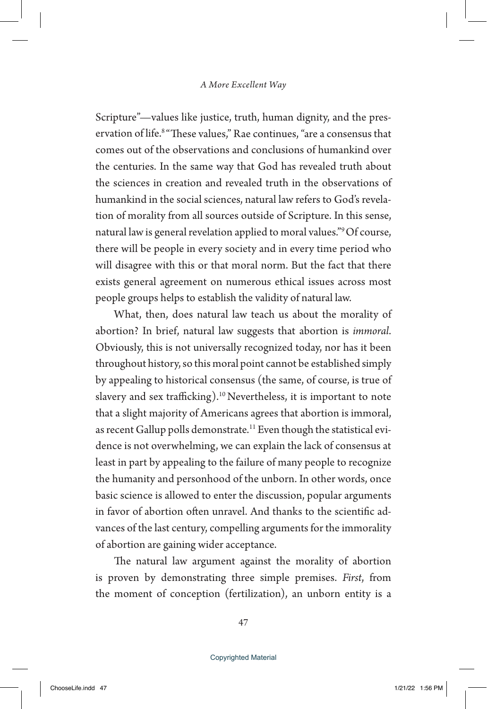Scripture"—values like justice, truth, human dignity, and the preservation of life.<sup>8</sup> "These values," Rae continues, "are a consensus that comes out of the observations and conclusions of humankind over the centuries. In the same way that God has revealed truth about the sciences in creation and revealed truth in the observations of humankind in the social sciences, natural law refers to God's revelation of morality from all sources outside of Scripture. In this sense, natural law is general revelation applied to moral values."9 Of course, there will be people in every society and in every time period who will disagree with this or that moral norm. But the fact that there exists general agreement on numerous ethical issues across most people groups helps to establish the validity of natural law.

What, then, does natural law teach us about the morality of abortion? In brief, natural law suggests that abortion is *immoral*. Obviously, this is not universally recognized today, nor has it been throughout history, so this moral point cannot be established simply by appealing to historical consensus (the same, of course, is true of slavery and sex trafficking).10 Nevertheless, it is important to note that a slight majority of Americans agrees that abortion is immoral, as recent Gallup polls demonstrate.<sup>11</sup> Even though the statistical evidence is not overwhelming, we can explain the lack of consensus at least in part by appealing to the failure of many people to recognize the humanity and personhood of the unborn. In other words, once basic science is allowed to enter the discussion, popular arguments in favor of abortion often unravel. And thanks to the scientific advances of the last century, compelling arguments for the immorality of abortion are gaining wider acceptance.

The natural law argument against the morality of abortion is proven by demonstrating three simple premises. *First*, from the moment of conception (fertilization), an unborn entity is a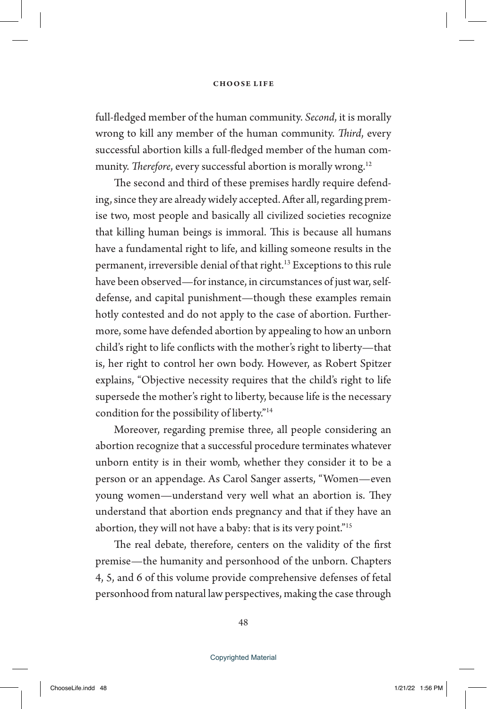full-fledged member of the human community. *Second*, it is morally wrong to kill any member of the human community. *Third*, every successful abortion kills a full-fledged member of the human community. *Therefore*, every successful abortion is morally wrong.<sup>12</sup>

The second and third of these premises hardly require defending, since they are already widely accepted. After all, regarding premise two, most people and basically all civilized societies recognize that killing human beings is immoral. This is because all humans have a fundamental right to life, and killing someone results in the permanent, irreversible denial of that right.13 Exceptions to this rule have been observed—for instance, in circumstances of just war, selfdefense, and capital punishment—though these examples remain hotly contested and do not apply to the case of abortion. Furthermore, some have defended abortion by appealing to how an unborn child's right to life conflicts with the mother's right to liberty—that is, her right to control her own body. However, as Robert Spitzer explains, "Objective necessity requires that the child's right to life supersede the mother's right to liberty, because life is the necessary condition for the possibility of liberty."14

Moreover, regarding premise three, all people considering an abortion recognize that a successful procedure terminates whatever unborn entity is in their womb, whether they consider it to be a person or an appendage. As Carol Sanger asserts, "Women—even young women—understand very well what an abortion is. They understand that abortion ends pregnancy and that if they have an abortion, they will not have a baby: that is its very point."15

The real debate, therefore, centers on the validity of the first premise—the humanity and personhood of the unborn. Chapters 4, 5, and 6 of this volume provide comprehensive defenses of fetal personhood from natural law perspectives, making the case through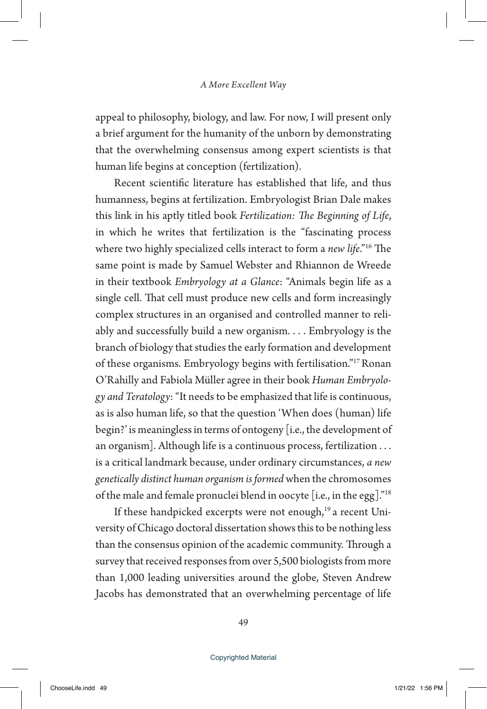appeal to philosophy, biology, and law. For now, I will present only a brief argument for the humanity of the unborn by demonstrating that the overwhelming consensus among expert scientists is that human life begins at conception (fertilization).

Recent scientific literature has established that life, and thus humanness, begins at fertilization. Embryologist Brian Dale makes this link in his aptly titled book *Fertilization: The Beginning of Life*, in which he writes that fertilization is the "fascinating process where two highly specialized cells interact to form a *new life*."16 The same point is made by Samuel Webster and Rhiannon de Wreede in their textbook *Embryology at a Glance*: "Animals begin life as a single cell. That cell must produce new cells and form increasingly complex structures in an organised and controlled manner to reliably and successfully build a new organism. . . . Embryology is the branch of biology that studies the early formation and development of these organisms. Embryology begins with fertilisation."17 Ronan O'Rahilly and Fabiola Müller agree in their book *Human Embryology and Teratology*: "It needs to be emphasized that life is continuous, as is also human life, so that the question 'When does (human) life begin?' is meaningless in terms of ontogeny [i.e., the development of an organism]. Although life is a continuous process, fertilization . . . is a critical landmark because, under ordinary circumstances, *a new genetically distinct human organism is formed* when the chromosomes of the male and female pronuclei blend in oocyte [i.e., in the egg]."18

If these handpicked excerpts were not enough,<sup>19</sup> a recent University of Chicago doctoral dissertation shows this to be nothing less than the consensus opinion of the academic community. Through a survey that received responses from over 5,500 biologists from more than 1,000 leading universities around the globe, Steven Andrew Jacobs has demonstrated that an overwhelming percentage of life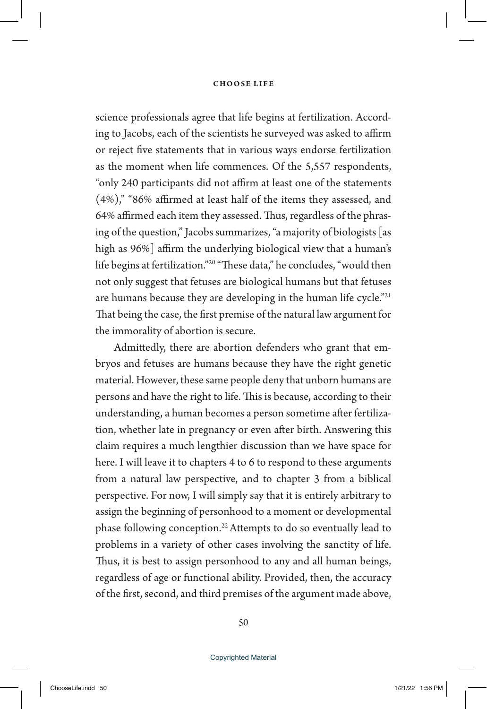science professionals agree that life begins at fertilization. According to Jacobs, each of the scientists he surveyed was asked to affirm or reject five statements that in various ways endorse fertilization as the moment when life commences. Of the 5,557 respondents, "only 240 participants did not affirm at least one of the statements (4%)," "86% affirmed at least half of the items they assessed, and 64% affirmed each item they assessed. Thus, regardless of the phrasing of the question," Jacobs summarizes, "a majority of biologists [as high as 96%] affirm the underlying biological view that a human's life begins at fertilization."20 "These data," he concludes, "would then not only suggest that fetuses are biological humans but that fetuses are humans because they are developing in the human life cycle."<sup>21</sup> That being the case, the first premise of the natural law argument for the immorality of abortion is secure.

Admittedly, there are abortion defenders who grant that embryos and fetuses are humans because they have the right genetic material. However, these same people deny that unborn humans are persons and have the right to life. This is because, according to their understanding, a human becomes a person sometime after fertilization, whether late in pregnancy or even after birth. Answering this claim requires a much lengthier discussion than we have space for here. I will leave it to chapters 4 to 6 to respond to these arguments from a natural law perspective, and to chapter 3 from a biblical perspective. For now, I will simply say that it is entirely arbitrary to assign the beginning of personhood to a moment or developmental phase following conception.22 Attempts to do so eventually lead to problems in a variety of other cases involving the sanctity of life. Thus, it is best to assign personhood to any and all human beings, regardless of age or functional ability. Provided, then, the accuracy of the first, second, and third premises of the argument made above,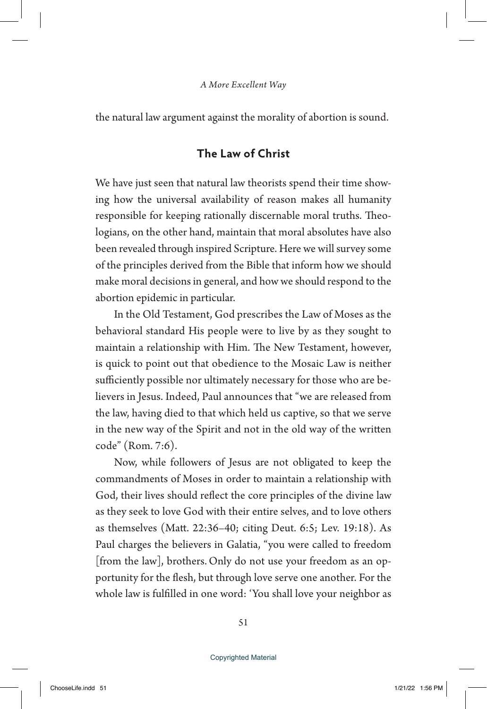the natural law argument against the morality of abortion is sound.

## **The Law of Christ**

We have just seen that natural law theorists spend their time showing how the universal availability of reason makes all humanity responsible for keeping rationally discernable moral truths. Theologians, on the other hand, maintain that moral absolutes have also been revealed through inspired Scripture. Here we will survey some of the principles derived from the Bible that inform how we should make moral decisions in general, and how we should respond to the abortion epidemic in particular.

In the Old Testament, God prescribes the Law of Moses as the behavioral standard His people were to live by as they sought to maintain a relationship with Him. The New Testament, however, is quick to point out that obedience to the Mosaic Law is neither sufficiently possible nor ultimately necessary for those who are believers in Jesus. Indeed, Paul announces that "we are released from the law, having died to that which held us captive, so that we serve in the new way of the Spirit and not in the old way of the written code" (Rom. 7:6).

Now, while followers of Jesus are not obligated to keep the commandments of Moses in order to maintain a relationship with God, their lives should reflect the core principles of the divine law as they seek to love God with their entire selves, and to love others as themselves (Matt. 22:36–40; citing Deut. 6:5; Lev. 19:18). As Paul charges the believers in Galatia, "you were called to freedom [from the law], brothers. Only do not use your freedom as an opportunity for the flesh, but through love serve one another. For the whole law is fulfilled in one word: 'You shall love your neighbor as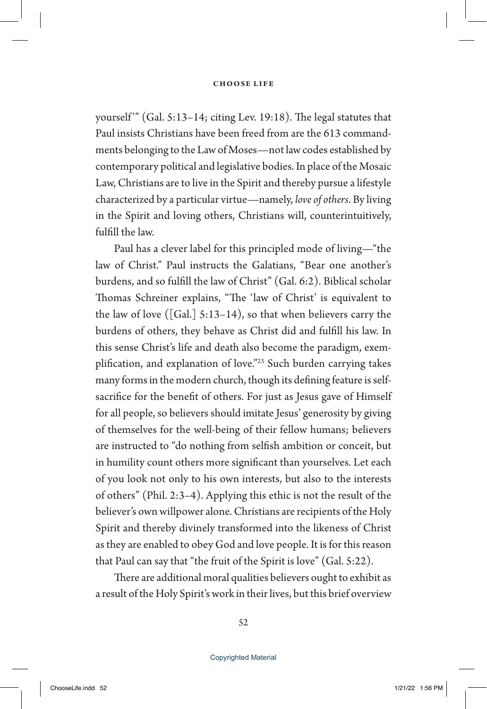yourself"" (Gal. 5:13-14; citing Lev. 19:18). The legal statutes that Paul insists Christians have been freed from are the 613 commandments belonging to the Law of Moses—not law codes established by contemporary political and legislative bodies. In place of the Mosaic Law, Christians are to live in the Spirit and thereby pursue a lifestyle characterized by a particular virtue—namely, *love of others*. By living in the Spirit and loving others, Christians will, counterintuitively, fulfill the law.

Paul has a clever label for this principled mode of living—"the law of Christ." Paul instructs the Galatians, "Bear one another's burdens, and so fulfill the law of Christ" (Gal. 6:2). Biblical scholar Thomas Schreiner explains, "The 'law of Christ' is equivalent to the law of love ([Gal.]  $5:13-14$ ), so that when believers carry the burdens of others, they behave as Christ did and fulfill his law. In this sense Christ's life and death also become the paradigm, exemplification, and explanation of love."<sup>23</sup> Such burden carrying takes many forms in the modern church, though its defining feature is selfsacrifice for the benefit of others. For just as Jesus gave of Himself for all people, so believers should imitate Jesus' generosity by giving of themselves for the well-being of their fellow humans; believers are instructed to "do nothing from selfish ambition or conceit, but in humility count others more significant than yourselves. Let each of you look not only to his own interests, but also to the interests of others" (Phil. 2:3–4). Applying this ethic is not the result of the believer's own willpower alone. Christians are recipients of the Holy Spirit and thereby divinely transformed into the likeness of Christ as they are enabled to obey God and love people. It is for this reason that Paul can say that "the fruit of the Spirit is love" (Gal. 5:22).

There are additional moral qualities believers ought to exhibit as a result of the Holy Spirit's work in their lives, but this brief overview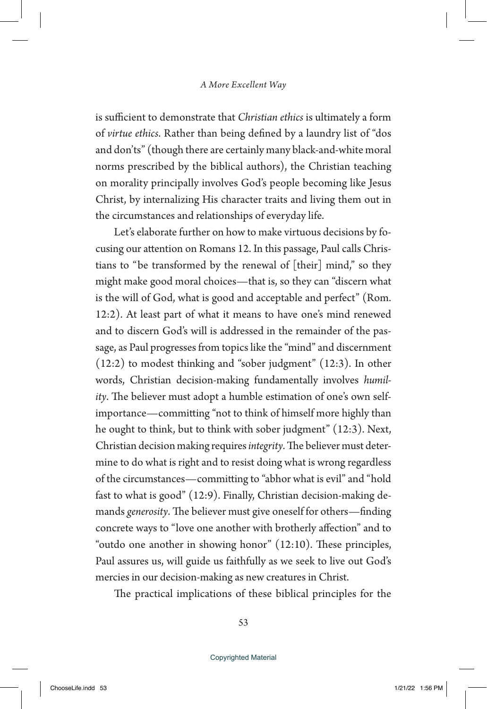is sufficient to demonstrate that *Christian ethics* is ultimately a form of *virtue ethics*. Rather than being defined by a laundry list of "dos and don'ts" (though there are certainly many black-and-white moral norms prescribed by the biblical authors), the Christian teaching on morality principally involves God's people becoming like Jesus Christ, by internalizing His character traits and living them out in the circumstances and relationships of everyday life.

Let's elaborate further on how to make virtuous decisions by focusing our attention on Romans 12. In this passage, Paul calls Christians to "be transformed by the renewal of [their] mind," so they might make good moral choices—that is, so they can "discern what is the will of God, what is good and acceptable and perfect" (Rom. 12:2). At least part of what it means to have one's mind renewed and to discern God's will is addressed in the remainder of the passage, as Paul progresses from topics like the "mind" and discernment (12:2) to modest thinking and "sober judgment" (12:3). In other words, Christian decision-making fundamentally involves *humility*. The believer must adopt a humble estimation of one's own selfimportance—committing "not to think of himself more highly than he ought to think, but to think with sober judgment" (12:3). Next, Christian decision making requires *integrity*. The believer must determine to do what is right and to resist doing what is wrong regardless of the circumstances—committing to "abhor what is evil" and "hold fast to what is good" (12:9). Finally, Christian decision-making demands *generosity*. The believer must give oneself for others—finding concrete ways to "love one another with brotherly affection" and to "outdo one another in showing honor" (12:10). These principles, Paul assures us, will guide us faithfully as we seek to live out God's mercies in our decision-making as new creatures in Christ.

The practical implications of these biblical principles for the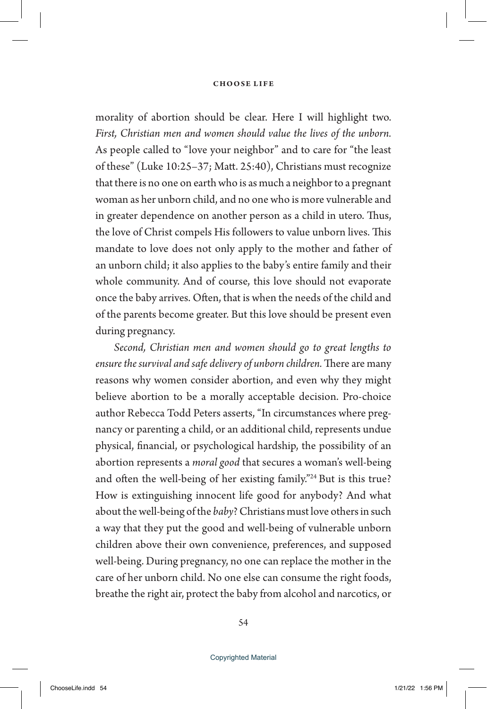morality of abortion should be clear. Here I will highlight two. *First, Christian men and women should value the lives of the unborn.*  As people called to "love your neighbor" and to care for "the least of these" (Luke 10:25–37; Matt. 25:40), Christians must recognize that there is no one on earth who is as much a neighbor to a pregnant woman as her unborn child, and no one who is more vulnerable and in greater dependence on another person as a child in utero. Thus, the love of Christ compels His followers to value unborn lives. This mandate to love does not only apply to the mother and father of an unborn child; it also applies to the baby's entire family and their whole community. And of course, this love should not evaporate once the baby arrives. Often, that is when the needs of the child and of the parents become greater. But this love should be present even during pregnancy.

*Second, Christian men and women should go to great lengths to ensure the survival and safe delivery of unborn children.* There are many reasons why women consider abortion, and even why they might believe abortion to be a morally acceptable decision. Pro-choice author Rebecca Todd Peters asserts, "In circumstances where pregnancy or parenting a child, or an additional child, represents undue physical, financial, or psychological hardship, the possibility of an abortion represents a *moral good* that secures a woman's well-being and often the well-being of her existing family."24 But is this true? How is extinguishing innocent life good for anybody? And what about the well-being of the *baby*? Christians must love others in such a way that they put the good and well-being of vulnerable unborn children above their own convenience, preferences, and supposed well-being. During pregnancy, no one can replace the mother in the care of her unborn child. No one else can consume the right foods, breathe the right air, protect the baby from alcohol and narcotics, or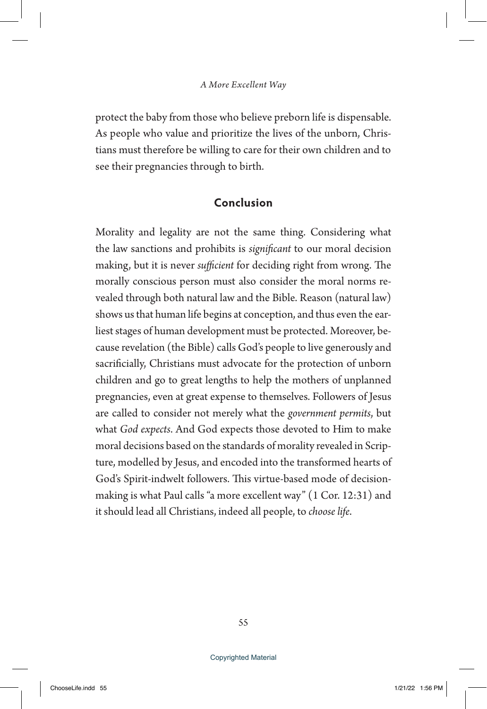protect the baby from those who believe preborn life is dispensable. As people who value and prioritize the lives of the unborn, Christians must therefore be willing to care for their own children and to see their pregnancies through to birth.

## **Conclusion**

Morality and legality are not the same thing. Considering what the law sanctions and prohibits is *significant* to our moral decision making, but it is never *sufficient* for deciding right from wrong. The morally conscious person must also consider the moral norms revealed through both natural law and the Bible. Reason (natural law) shows us that human life begins at conception, and thus even the earliest stages of human development must be protected. Moreover, because revelation (the Bible) calls God's people to live generously and sacrificially, Christians must advocate for the protection of unborn children and go to great lengths to help the mothers of unplanned pregnancies, even at great expense to themselves. Followers of Jesus are called to consider not merely what the *government permits*, but what *God expects*. And God expects those devoted to Him to make moral decisions based on the standards of morality revealed in Scripture, modelled by Jesus, and encoded into the transformed hearts of God's Spirit-indwelt followers. This virtue-based mode of decisionmaking is what Paul calls "a more excellent way" (1 Cor. 12:31) and it should lead all Christians, indeed all people, to *choose life*.